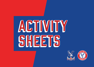# ACTIVITY SHEETS



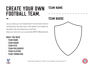#### create your own football team. team name

Can you create your own football team? You will need to think of everything from the team name, to the design of your badge and the players who will represent you. Good luck! Share your work with us on social media @CPFC @PalaceForLife.

#### WHAT YOU NFFD

- Team Name
- Team Badge
- Team Kits
- **TEAM PHILOSOPHY**
- Team players
- **TEAM FORMATION**







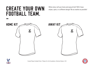What colour will your home and away kit be? Will it have stripes, spots, or a different design? Be as creative as possible!





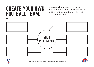Which values will be most important to your team? Write them in the boxes below. Some examples might be ambitious, inspiring, connected and fair – these are the values of the Premier League.





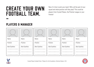Now it's time to pick your team! Who will be part of your squad and what position will they play? This could be players from Crystal Palace, the Premier League or your friends!

#### players & Manager

| Name:                  | Name:                  | Name:                  | Name:                                 | Name:                  | Name:                  |
|------------------------|------------------------|------------------------|---------------------------------------|------------------------|------------------------|
| Position:              | Position:              | Position:              | Position:                             | Position:              | Position:              |
| <b>Best Qualities:</b> | <b>Best Qualities:</b> | <b>Best Qualities:</b> | <b>Best Qualities:</b><br>----------- | <b>Best Qualities:</b> | <b>Best Qualities:</b> |
|                        |                        |                        |                                       |                        |                        |
|                        |                        |                        |                                       |                        |                        |



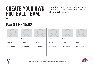What qualities will each of these players bring to your team – speed, strength, fitness, team work? Try and think of a different quality for each player.

#### players & Manager

| Name:                  | Name:                  | Name:                  | Name:                  | Name:                  | Name:                  |
|------------------------|------------------------|------------------------|------------------------|------------------------|------------------------|
| Position:              | Position:              | Position:              | Position:              | Position:              | Position:              |
| <b>Best Qualities:</b> | <b>Best Qualities:</b> | <b>Best Qualities:</b> | <b>Best Qualities:</b> | <b>Best Qualities:</b> | <b>Best Qualities:</b> |
|                        |                        |                        |                        |                        |                        |
|                        |                        |                        |                        |                        |                        |
|                        |                        |                        |                        |                        |                        |



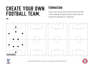#### **FORMATION**

Tactics! How will you set your team up? Can you think of three different formations that your team could try? Consider the opposition you might face.





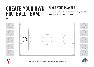## place your players

Pick your favourite formation and draw your players in their position on the pitch, ready for a match!





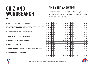## Quiz and **WORDSEARCH** -

### find your answers!

Can you find the nine words hidden below? They can be horizontal (sideways), vertical (straight) or diagonal! Answer the questions to reveal the words.

| 1. WHAT IS THE NICKNAME OF CRYSTAL PALACE?                    | D            |              |     | G            |              | W            | W        | 0                 | S            | O.                     | W            | W              |              | D.  |           |              |    |          |         |   |    |              |
|---------------------------------------------------------------|--------------|--------------|-----|--------------|--------------|--------------|----------|-------------------|--------------|------------------------|--------------|----------------|--------------|-----|-----------|--------------|----|----------|---------|---|----|--------------|
|                                                               |              |              | H   | B            |              | $\mathbf{D}$ |          | Н.                |              | W                      |              | 0.             | S.           | C I |           |              |    | S I      |         |   |    |              |
| 2. WHAT STADIUM DO CRYSTAL PALACE PLAY IN?                    |              | В.           |     | B W          |              | S I          |          |                   |              | N                      | $\mathsf{X}$ |                | c.           |     |           |              | D  |          |         |   |    | R            |
|                                                               |              |              | D I |              |              |              |          |                   |              | E                      | $\mathbf{c}$ | H              | C            | HI  |           |              | C. | $x \mid$ |         |   |    | F            |
| 3. WHICH PLAYER WEARS THE NUMBER 11 SHIRT?                    |              |              |     | B            |              | B            | <b>N</b> | V                 | G            | R                      | V            | U              |              |     |           | E.           | R  | P I      | 0       |   |    | $\mathsf{F}$ |
|                                                               |              |              |     | WV           | $\mathsf{K}$ |              | G I      | $\mathsf{V}$      |              | F I                    | G            | M              | G            | M   |           | $\mathbf{B}$ |    |          | $D$   K |   |    | $\mathsf{V}$ |
|                                                               | S            | E.           | C I | $\mathsf{X}$ | P.           | S.           |          | D                 | C.           | V                      | $\mathbf{B}$ |                | $\mathbf{B}$ |     | B         | D            | D  | ΕI       | R       | D | B. | $\mathsf{V}$ |
| 4. WHAT COUNTRY IS VICENTE GUAITA FROM?                       | E.           | F.           | F   | $\mathbf D$  |              |              |          | $\mathbb{C}$      | $\mathsf{V}$ | J.                     |              |                |              | G I |           | B            | S. | B        | E       | R |    | $\mathbf{A}$ |
|                                                               |              | F.           |     | $H$ $H$      |              |              |          | $\mathsf{V}$      | G            | ΕI                     | 6            | 0              |              | s I |           | M            |    |          | $B$   D |   |    | S.           |
| 5. WHO IS THE CRYSTAL PALACE MANAGER?                         | H            | $\mathsf{X}$ |     | $\mathsf{K}$ | E.           | H.           |          | $G \mid W$        |              |                        | WE           |                | G            |     |           | S            | H  |          | M W     |   | E. | $\mathbf{R}$ |
|                                                               |              |              | GI  | r U f        |              | 0.           |          | $($ S $^{\prime}$ | S.           | F                      | S            | D              | D            | W   |           |              | V  |          | H   0   | P | E. | H            |
| <b>6. WHAT COLOUR IS THE 3RD KIT?</b>                         | R            | М            |     | $G$   T      | D            | D            |          |                   | $\mathbf{X}$ | A                      | $\mathsf{V}$ | G              |              | S I | U         |              |    | G I      |         |   |    |              |
|                                                               | S            | U            |     | R   H        | B            | G            |          |                   | C            | $\mathbf{C}$           | N.           | D              |              | E I |           | D            |    | RI       | D       |   |    | В.           |
| 7. WHICH CLUB DID MAMADOU SAKHO PLAY FOR BEFORE JOINING CPFC? |              | 6.           |     | E.           |              | S.           |          |                   | S.           |                        |              | S.             |              | RI  |           | S.           | W  |          | H       |   |    |              |
|                                                               |              | D            |     | $H$   0      |              |              |          |                   |              | N                      | U            | X              |              | C.  |           |              |    | G        |         |   |    |              |
| <b>8. WHO IS CPFC'S TALLEST PLAYER?</b>                       |              | C            |     |              |              |              |          |                   |              | G                      |              | S.             |              | G I |           |              | C. | F I      | P.      |   |    |              |
|                                                               | $\mathbf{R}$ | B.           |     | $0$   P      |              | W            |          |                   |              | ΕI                     | $\mathsf{N}$ | $\mathsf{N}$   |              |     | $S$   $S$ | E            |    | A        |         | W |    | $\mathsf{V}$ |
|                                                               | KI           | H            |     | $P$   H      | $\mathbf{T}$ |              |          | B T               |              | $K \mid W \mid S \mid$ |              | F <sub>1</sub> | C            |     | Y N       |              | w  | H        |         |   |    | S.           |



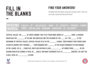## fill in the blanks -

### find your answers!

Complete the text below using the missing words. Then can you read it aloud and learn the facts?

#### missing words: EAGLES -  $10^{th}$  - MILIVOJEVIC - HOME - 72 - CAPACITY - PREMIER - SERBIA pride - £32 million - hodgson - christian - 12 - selhurst

Crystal Palace, the \_\_\_\_\_ of south London. They play their home games at \_\_\_\_\_\_\_\_ park. A stadium which has the \_\_\_\_\_\_\_\_ of 25,486. Red and blue are the colours of the \_\_\_\_ kit. The \_\_\_\_\_\_ is the nickname of crystal palace. crystal palace play in the \_\_\_\_\_\_\_ league. Their highest ever finish came IN 2014/15 WHERE THEY FINISHED \_\_--. THEIR MANAGER ROY \_\_\_\_\_\_\_ IS THE OLDEST MANAGER TO EVER MANAGE in the league. He is \_\_ years old. Our club captain is Luka \_\_\_\_\_\_\_\_\_\_\_. He comes from \_\_\_\_\_\_. In the season 2018/19 he scored a total of \_\_ goals. Our most expensive play is \_\_\_\_\_\_\_\_\_ Benteke. He cost the club a total of \_\_\_ \_\_\_\_\_\_\_ in 2016.



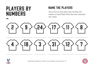# players by **NUMBERS**

### name the players

Can you find out which player wears the below shirt numbers at Crystal Palace? Write their name underneath their number.